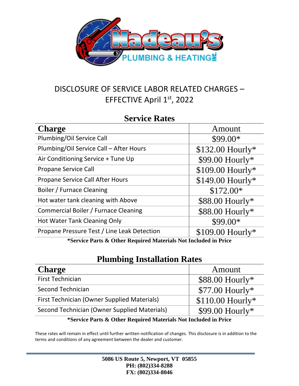

# DISCLOSURE OF SERVICE LABOR RELATED CHARGES – EFFECTIVE April 1st, 2022

#### **Service Rates**

| <b>Charge</b>                               | Amount            |  |
|---------------------------------------------|-------------------|--|
| Plumbing/Oil Service Call                   | \$99.00*          |  |
| Plumbing/Oil Service Call - After Hours     | \$132.00 Hourly*  |  |
| Air Conditioning Service + Tune Up          | \$99.00 Hourly*   |  |
| <b>Propane Service Call</b>                 | \$109.00 Hourly*  |  |
| Propane Service Call After Hours            | \$149.00 Hourly*  |  |
| Boiler / Furnace Cleaning                   | $$172.00*$        |  |
| Hot water tank cleaning with Above          | $$88.00$ Hourly*  |  |
| Commercial Boiler / Furnace Cleaning        | \$88.00 Hourly*   |  |
| Hot Water Tank Cleaning Only                | \$99.00*          |  |
| Propane Pressure Test / Line Leak Detection | $$109.00$ Hourly* |  |
|                                             |                   |  |

**\*Service Parts & Other Required Materials Not Included in Price**

## **Plumbing Installation Rates**

| <b>Charge</b>                                                   | Amount            |
|-----------------------------------------------------------------|-------------------|
| <b>First Technician</b>                                         | $$88.00$ Hourly*  |
| <b>Second Technician</b>                                        | $$77.00$ Hourly*  |
| First Technician (Owner Supplied Materials)                     | $$110.00$ Hourly* |
| Second Technician (Owner Supplied Materials)                    | $$99.00$ Hourly*  |
| *Service Parts & Other Required Materials Not Included in Price |                   |

These rates will remain in effect until further written notification of changes. This disclosure is in addition to the terms and conditions of any agreement between the dealer and customer.

| 5086 US Route 5, Newport, VT 05855 |  |
|------------------------------------|--|
| PH: (802)334-8288                  |  |
| FX: (802)334-8046                  |  |